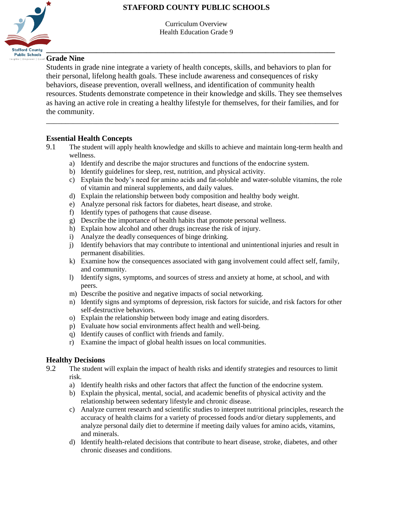### **STAFFORD COUNTY PUBLIC SCHOOLS**



Curriculum Overview Health Education Grade 9

# **Grade Nine**

Students in grade nine integrate a variety of health concepts, skills, and behaviors to plan for their personal, lifelong health goals. These include awareness and consequences of risky behaviors, disease prevention, overall wellness, and identification of community health resources. Students demonstrate competence in their knowledge and skills. They see themselves as having an active role in creating a healthy lifestyle for themselves, for their families, and for the community.

#### **Essential Health Concepts**

9.1 The student will apply health knowledge and skills to achieve and maintain long-term health and wellness.

\_\_\_\_\_\_\_\_\_\_\_\_\_\_\_\_\_\_\_\_\_\_\_\_\_\_\_\_\_\_\_\_\_\_\_\_\_\_\_\_\_\_\_\_\_\_\_\_\_\_\_\_\_\_\_\_\_\_\_\_\_\_\_\_\_\_\_\_\_\_\_\_\_\_\_\_

- a) Identify and describe the major structures and functions of the endocrine system.
- b) Identify guidelines for sleep, rest, nutrition, and physical activity.
- c) Explain the body's need for amino acids and fat-soluble and water-soluble vitamins, the role of vitamin and mineral supplements, and daily values.
- d) Explain the relationship between body composition and healthy body weight.
- e) Analyze personal risk factors for diabetes, heart disease, and stroke.
- f) Identify types of pathogens that cause disease.
- g) Describe the importance of health habits that promote personal wellness.
- h) Explain how alcohol and other drugs increase the risk of injury.
- i) Analyze the deadly consequences of binge drinking.
- j) Identify behaviors that may contribute to intentional and unintentional injuries and result in permanent disabilities.
- k) Examine how the consequences associated with gang involvement could affect self, family, and community.
- l) Identify signs, symptoms, and sources of stress and anxiety at home, at school, and with peers.
- m) Describe the positive and negative impacts of social networking.
- n) Identify signs and symptoms of depression, risk factors for suicide, and risk factors for other self-destructive behaviors.
- o) Explain the relationship between body image and eating disorders.
- p) Evaluate how social environments affect health and well-being.
- q) Identify causes of conflict with friends and family.
- r) Examine the impact of global health issues on local communities.

#### **Healthy Decisions**

- 9.2 The student will explain the impact of health risks and identify strategies and resources to limit risk.
	- a) Identify health risks and other factors that affect the function of the endocrine system.
	- b) Explain the physical, mental, social, and academic benefits of physical activity and the relationship between sedentary lifestyle and chronic disease.
	- c) Analyze current research and scientific studies to interpret nutritional principles, research the accuracy of health claims for a variety of processed foods and/or dietary supplements, and analyze personal daily diet to determine if meeting daily values for amino acids, vitamins, and minerals.
	- d) Identify health-related decisions that contribute to heart disease, stroke, diabetes, and other chronic diseases and conditions.